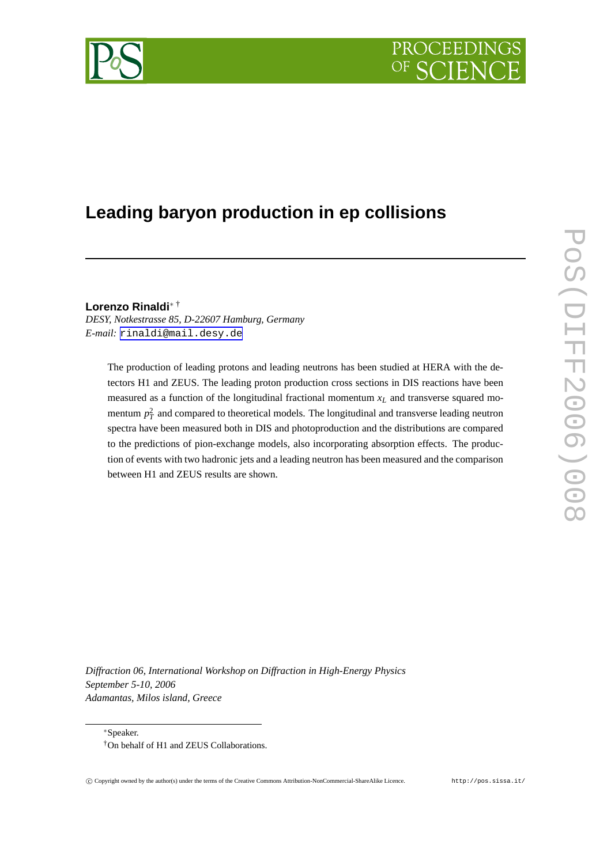# PROCEEDIN



# **Leading baryon production in ep collisions**

**Lorenzo Rinaldi**<sup>∗</sup> †

*DESY, Notkestrasse 85, D-22607 Hamburg, Germany E-mail:* [rinaldi@mail.desy.de](mailto:rinaldi@mail.desy.de)

The production of leading protons and leading neutrons has been studied at HERA with the detectors H1 and ZEUS. The leading proton production cross sections in DIS reactions have been measured as a function of the longitudinal fractional momentum *x<sup>L</sup>* and transverse squared momentum  $p_T^2$  and compared to theoretical models. The longitudinal and transverse leading neutron spectra have been measured both in DIS and photoproduction and the distributions are compared to the predictions of pion-exchange models, also incorporating absorption effects. The production of events with two hadronic jets and a leading neutron has been measured and the comparison between H1 and ZEUS results are shown.

*Diffraction 06, International Workshop on Diffraction in High-Energy Physics September 5-10, 2006 Adamantas, Milos island, Greece*

<sup>∗</sup>Speaker.

<sup>†</sup>On behalf of H1 and ZEUS Collaborations.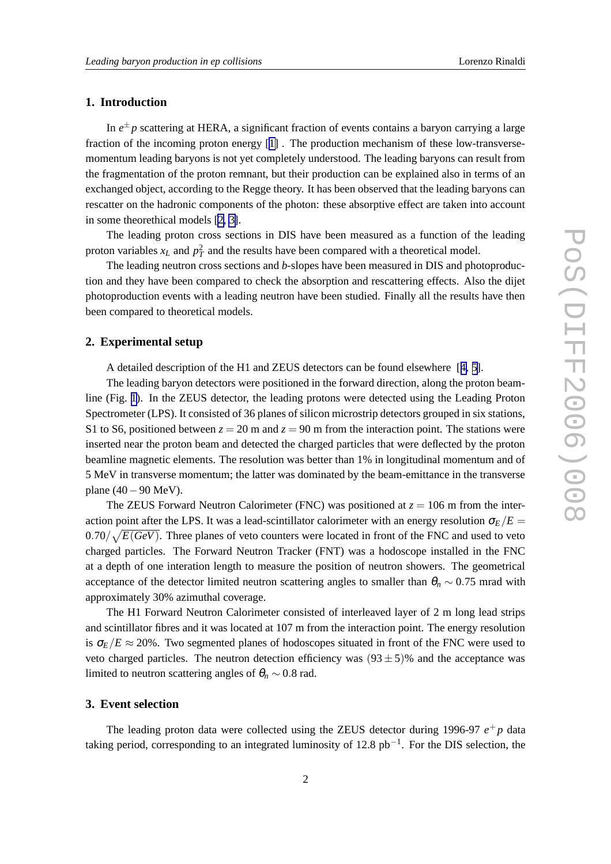# **1. Introduction**

In  $e^{\pm}p$  scattering at HERA, a significant fraction of events contains a baryon carrying a large fraction of the incoming proton energy [\[1\]](#page-5-0) . The production mechanism of these low-transversemomentum leading baryons is not yet completely understood. The leading baryons can result from the fragmentation of the proton remnant, but their production can be explained also in terms of an exchanged object, according to the Regge theory. It has been observed that the leading baryons can rescatter on the hadronic components of the photon: these absorptive effect are taken into account in some theorethical models [\[2,](#page-6-0) [3\]](#page-6-0).

The leading proton cross sections in DIS have been measured as a function of the leading proton variables  $x_L$  and  $p_T^2$  and the results have been compared with a theoretical model.

The leading neutron cross sections and *b*-slopes have been measured in DIS and photoproduction and they have been compared to check the absorption and rescattering effects. Also the dijet photoproduction events with a leading neutron have been studied. Finally all the results have then been compared to theoretical models.

#### **2. Experimental setup**

A detailed description of the H1 and ZEUS detectors can be found elsewhere [[4,](#page-6-0) [5\]](#page-6-0).

The leading baryon detectors were positioned in the forward direction, along the proton beamline (Fig. [1](#page-2-0)). In the ZEUS detector, the leading protons were detected using the Leading Proton Spectrometer (LPS). It consisted of 36 planes of silicon microstrip detectors grouped in six stations, S1 to S6, positioned between  $z = 20$  m and  $z = 90$  m from the interaction point. The stations were inserted near the proton beam and detected the charged particles that were deflected by the proton beamline magnetic elements. The resolution was better than 1% in longitudinal momentum and of 5 MeV in transverse momentum; the latter was dominated by the beam-emittance in the transverse plane (40−90 MeV).

The ZEUS Forward Neutron Calorimeter (FNC) was positioned at  $z = 106$  m from the interaction point after the LPS. It was a lead-scintillator calorimeter with an energy resolution  $\sigma_E/E =$  $(0.70/\sqrt{E(GeV)})$ . Three planes of veto counters were located in front of the FNC and used to veto charged particles. The Forward Neutron Tracker (FNT) was a hodoscope installed in the FNC at a depth of one interation length to measure the position of neutron showers. The geometrical acceptance of the detector limited neutron scattering angles to smaller than  $\theta_n \sim 0.75$  mrad with approximately 30% azimuthal coverage.

The H1 Forward Neutron Calorimeter consisted of interleaved layer of 2 m long lead strips and scintillator fibres and it was located at 107 m from the interaction point. The energy resolution is  $\sigma_E/E \approx 20\%$ . Two segmented planes of hodoscopes situated in front of the FNC were used to veto charged particles. The neutron detection efficiency was  $(93 \pm 5)\%$  and the acceptance was limited to neutron scattering angles of  $\theta_n \sim 0.8$  rad.

#### **3. Event selection**

The leading proton data were collected using the ZEUS detector during 1996-97  $e^+p$  data taking period, corresponding to an integrated luminosity of 12.8  $pb^{-1}$ . For the DIS selection, the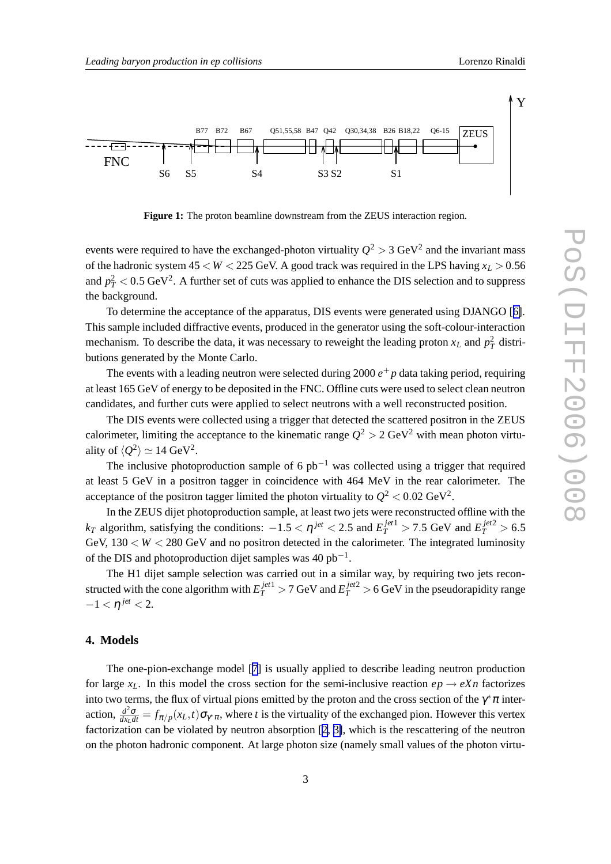<span id="page-2-0"></span>

**Figure 1:** The proton beamline downstream from the ZEUS interaction region.

events were required to have the exchanged-photon virtuality  $Q^2 > 3$  GeV<sup>2</sup> and the invariant mass of the hadronic system  $45 < W < 225$  GeV. A good track was required in the LPS having  $x_L > 0.56$ and  $p_T^2 < 0.5 \text{ GeV}^2$ . A further set of cuts was applied to enhance the DIS selection and to suppress the background.

To determine the acceptance of the apparatus, DIS events were generated using DJANGO [[6\]](#page-6-0). This sample included diffractive events, produced in the generator using the soft-colour-interaction mechanism. To describe the data, it was necessary to reweight the leading proton  $x_L$  and  $p_T^2$  distributions generated by the Monte Carlo.

The events with a leading neutron were selected during  $2000 e^+ p$  data taking period, requiring at least 165 GeV of energy to be deposited in the FNC. Offline cuts were used to select clean neutron candidates, and further cuts were applied to select neutrons with a well reconstructed position.

The DIS events were collected using a trigger that detected the scattered positron in the ZEUS calorimeter, limiting the acceptance to the kinematic range  $Q^2 > 2 \text{ GeV}^2$  with mean photon virtuality of  $\langle Q^2 \rangle \simeq 14 \text{ GeV}^2$ .

The inclusive photoproduction sample of 6  $pb^{-1}$  was collected using a trigger that required at least 5 GeV in a positron tagger in coincidence with 464 MeV in the rear calorimeter. The acceptance of the positron tagger limited the photon virtuality to  $Q^2 < 0.02 \text{ GeV}^2$ .

In the ZEUS dijet photoproduction sample, at least two jets were reconstructed offline with the *k*<sub>*T*</sub> algorithm, satisfying the conditions:  $-1.5 < \eta^{jet} < 2.5$  and  $E_T^{jet1} > 7.5$  GeV and  $E_T^{jet2} > 6.5$ GeV,  $130 < W < 280$  GeV and no positron detected in the calorimeter. The integrated luminosity of the DIS and photoproduction dijet samples was  $40$  pb<sup>-1</sup>.

The H1 dijet sample selection was carried out in a similar way, by requiring two jets reconstructed with the cone algorithm with  $E_T^{jet1} > 7$  GeV and  $E_T^{jet2} > 6$  GeV in the pseudorapidity range  $-1 <$  η<sup>*jet*</sup> < 2.

# **4. Models**

The one-pion-exchange model [[7\]](#page-6-0) is usually applied to describe leading neutron production for large  $x_L$ . In this model the cross section for the semi-inclusive reaction  $ep \rightarrow eXn$  factorizes into two terms, the flux of virtual pions emitted by the proton and the cross section of the  $\gamma^*\pi$  interaction,  $\frac{d^2\sigma}{dx_Ldt} = f_{\pi/p}(x_L, t)\sigma_{\gamma^*\pi}$ , where *t* is the virtuality of the exchanged pion. However this vertex factorization can be violated by neutron absorption [[2](#page-6-0), [3\]](#page-6-0), which is the rescattering of the neutron on the photon hadronic component. At large photon size (namely small values of the photon virtu-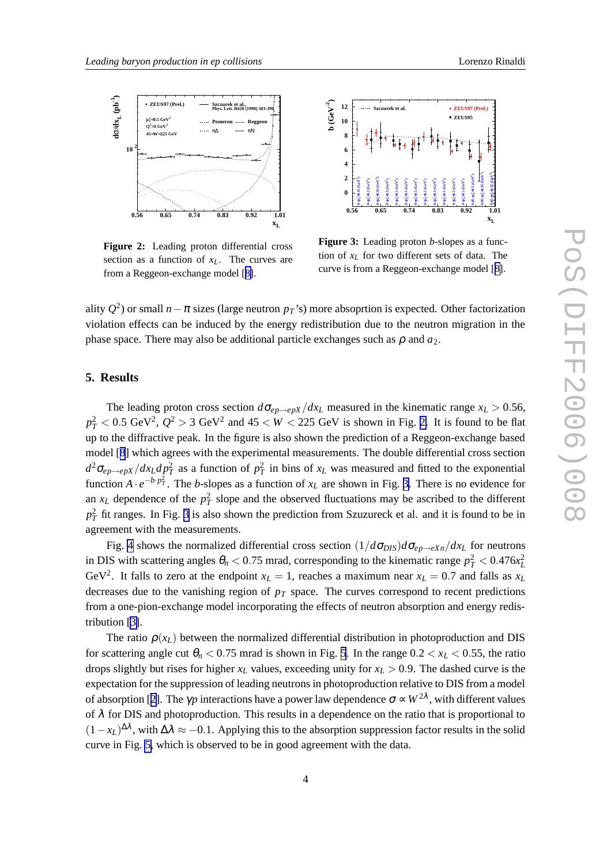

**Figure 2:** Leading proton differential cross section as a function of *xL*. The curves are from a Reggeon-exchange model [[8\]](#page-6-0).



**Figure 3:** Leading proton *b*-slopes as a function of  $x_L$  for two different sets of data. The curve is from a Reggeon-exchange model [[8\]](#page-6-0).

ality  $Q^2$ ) or small  $n - \pi$  sizes (large neutron  $p_T$ 's) more absoprtion is expected. Other factorization violation effects can be induced by the energy redistribution due to the neutron migration in the phase space. There may also be additional particle exchanges such as  $\rho$  and  $a_2$ .

### **5. Results**

The leading proton cross section  $d\sigma_{ep\rightarrow epX}/dx_L$  measured in the kinematic range  $x_L > 0.56$ ,  $p_T^2 < 0.5$  GeV<sup>2</sup>,  $Q^2 > 3$  GeV<sup>2</sup> and  $45 < W < 225$  GeV is shown in Fig. 2. It is found to be flat up to the diffractive peak. In the figure is also shown the prediction of a Reggeon-exchange based model [[8](#page-6-0)] which agrees with the experimental measurements. The double differential cross section  $d^2\sigma_{ep\to epX}/dx_L dp_T^2$  as a function of  $p_T^2$  in bins of  $x_L$  was measured and fitted to the exponential function  $A \cdot e^{-b \cdot p_T^2}$ . The *b*-slopes as a function of  $x_L$  are shown in Fig. 3. There is no evidence for an  $x_L$  dependence of the  $p_T^2$  slope and the observed fluctuations may be ascribed to the different  $p_T^2$  fit ranges. In Fig. 3 is also shown the prediction from Szuzureck et al. and it is found to be in agreement with the measurements.

Fig. [4](#page-4-0) shows the normalized differential cross section  $(1/d\sigma_{DIS})d\sigma_{en\to eXn}/dx_L$  for neutrons in DIS with scattering angles  $\theta_n < 0.75$  mrad, corresponding to the kinematic range  $p_T^2 < 0.476x_L^2$ GeV<sup>2</sup>. It falls to zero at the endpoint  $x_L = 1$ , reaches a maximum near  $x_L = 0.7$  and falls as  $x_L$ decreases due to the vanishing region of *p<sup>T</sup>* space. The curves correspond to recent predictions from a one-pion-exchange model incorporating the effects of neutron absorption and energy redistribution [\[3\]](#page-6-0).

The ratio  $\rho(x_L)$  between the normalized differential distribution in photoproduction and DIS for scattering angle cut  $\theta_n < 0.75$  $\theta_n < 0.75$  mrad is shown in Fig. 5. In the range  $0.2 < x_L < 0.55$ , the ratio drops slightly but rises for higher  $x_L$  values, exceeding unity for  $x_L > 0.9$ . The dashed curve is the expectation for the suppression of leading neutrons in photoproduction relative to DIS from a model of absorption [[2](#page-6-0)]. The  $\gamma p$  interactions have a power law dependence  $\sigma \propto W^{2\lambda}$ , with different values of  $\lambda$  for DIS and photoproduction. This results in a dependence on the ratio that is proportional to  $(1-x_L)^{\Delta\lambda}$ , with  $\Delta\lambda \approx -0.1$ . Applying this to the absorption suppression factor results in the solid curve in Fig. [5,](#page-4-0) which is observed to be in good agreement with the data.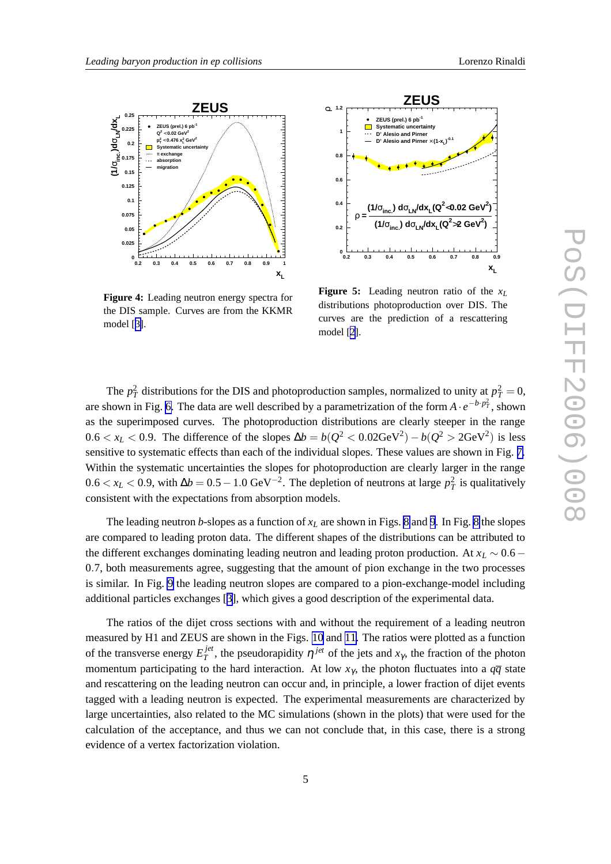<span id="page-4-0"></span>

**Figure 4:** Leading neutron energy spectra for the DIS sample. Curves are from the KKMR model [[3\]](#page-6-0).



**Figure 5:** Leading neutron ratio of the *x<sup>L</sup>* distributions photoproduction over DIS. The curves are the prediction of a rescattering model [[2\]](#page-6-0).

The  $p_T^2$  distributions for the DIS and photoproduction samples, normalized to unity at  $p_T^2 = 0$ , are shown in Fig. [6.](#page-5-0) The data are well described by a parametrization of the form  $A \cdot e^{-b \cdot p_T^2}$ , shown as the superimposed curves. The photoproduction distributions are clearly steeper in the range  $0.6 < x_L < 0.9$ . The difference of the slopes  $\Delta b = b(Q^2 < 0.02 \text{GeV}^2) - b(Q^2 > 2 \text{GeV}^2)$  is less sensitive to systematic effects than each of the individual slopes. These values are shown in Fig. [7.](#page-5-0) Within the systematic uncertainties the slopes for photoproduction are clearly larger in the range 0.6 <  $x_L$  < 0.9, with  $\Delta b = 0.5 - 1.0$  GeV<sup>-2</sup>. The depletion of neutrons at large  $p_T^2$  is qualitatively consistent with the expectations from absorption models.

The leading neutron *b*-slopes as a function of  $x_L$  are shown in Figs. [8](#page-5-0) and [9](#page-5-0). In Fig. 8 the slopes are compared to leading proton data. The different shapes of the distributions can be attributed to the different exchanges dominating leading neutron and leading proton production. At *x<sup>L</sup>* ∼ 0.6− 0.7, both measurements agree, suggesting that the amount of pion exchange in the two processes is similar. In Fig. [9](#page-5-0) the leading neutron slopes are compared to a pion-exchange-model including additional particles exchanges [[3](#page-6-0)], which gives a good description of the experimental data.

The ratios of the dijet cross sections with and without the requirement of a leading neutron measured by H1 and ZEUS are shown in the Figs. [10](#page-6-0) and [11.](#page-6-0) The ratios were plotted as a function of the transverse energy *E jet*  $T<sup>jet</sup>$ , the pseudorapidity  $η<sup>jet</sup>$  of the jets and *x*<sub>γ</sub>, the fraction of the photon momentum participating to the hard interaction. At low  $x_{\gamma}$ , the photon fluctuates into a  $q\bar{q}$  state and rescattering on the leading neutron can occur and, in principle, a lower fraction of dijet events tagged with a leading neutron is expected. The experimental measurements are characterized by large uncertainties, also related to the MC simulations (shown in the plots) that were used for the calculation of the acceptance, and thus we can not conclude that, in this case, there is a strong evidence of a vertex factorization violation.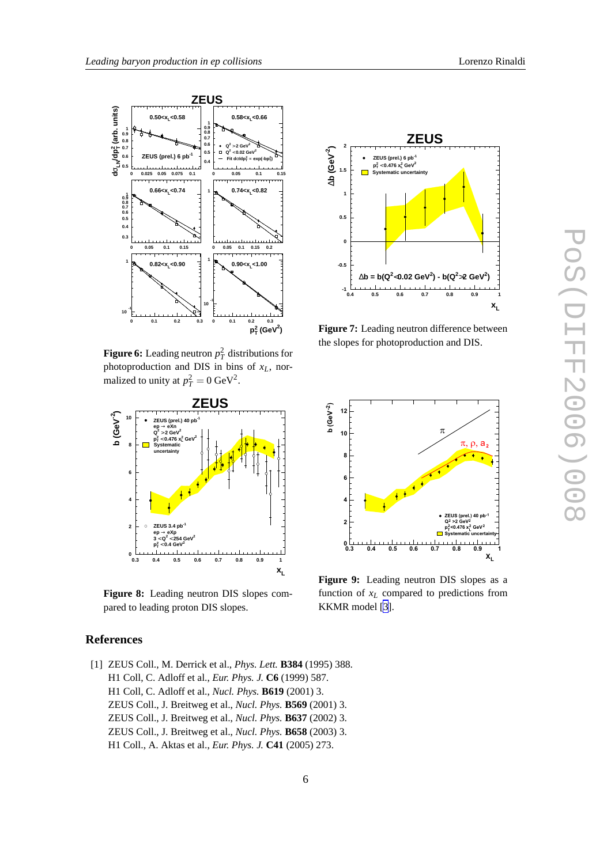<span id="page-5-0"></span>

**Figure 6:** Leading neutron  $p_T^2$  distributions for photoproduction and DIS in bins of *xL*, normalized to unity at  $p_T^2 = 0$  GeV<sup>2</sup>.



**Figure 8:** Leading neutron DIS slopes compared to leading proton DIS slopes.

# **References**

[1] ZEUS Coll., M. Derrick et al., *Phys. Lett.* **B384** (1995) 388. H1 Coll, C. Adloff et al., *Eur. Phys. J.* **C6** (1999) 587. H1 Coll, C. Adloff et al., *Nucl. Phys.* **B619** (2001) 3. ZEUS Coll., J. Breitweg et al., *Nucl. Phys.* **B569** (2001) 3. ZEUS Coll., J. Breitweg et al., *Nucl. Phys.* **B637** (2002) 3. ZEUS Coll., J. Breitweg et al., *Nucl. Phys.* **B658** (2003) 3. H1 Coll., A. Aktas et al., *Eur. Phys. J.* **C41** (2005) 273.



**Figure 7:** Leading neutron difference between the slopes for photoproduction and DIS.



**Figure 9:** Leading neutron DIS slopes as a function of *x<sup>L</sup>* compared to predictions from KKMR model [\[3](#page-6-0)].